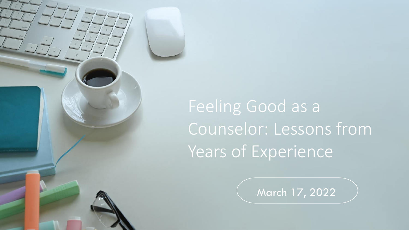

March 17, 2022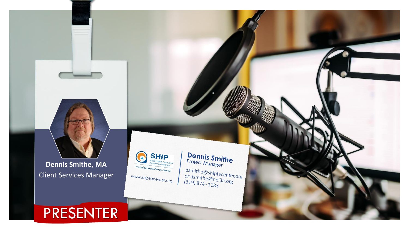

**Dennis Smithe, MA** Client Services Manager

#### PRESENTER



# **Dennis Smithe**<br>Project Manager

dsmithe@shiptacenter.org<br>
or dsmithe@nei3a.org asmithe@shiptacenter.c<br>| or dsmithe@nei3a.org<br>(319) 874 - 1183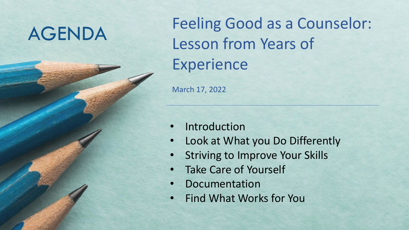AGENDA Feeling Good as a Counselor: Lesson from Years of Experience

March 17, 2022

- Stress • Introduction
- Look at What you Do Differently
- Striving to Improve Your Skills
- Take Care of Yourself
- **Documentation**
- Find What Works for You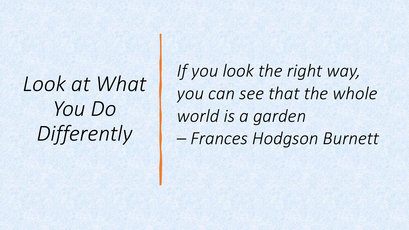# *Look at What You Do Differently*

*If you look the right way, you can see that the whole world is a garden – Frances Hodgson Burnett*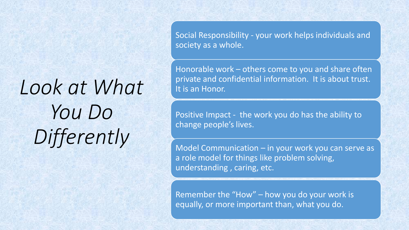# *Look at What You Do Differently*

Social Responsibility - your work helps individuals and society as a whole.

Honorable work – others come to you and share often private and confidential information. It is about trust. It is an Honor.

Positive Impact - the work you do has the ability to change people's lives.

Model Communication – in your work you can serve as a role model for things like problem solving, understanding , caring, etc.

Remember the "How" – how you do your work is equally, or more important than, what you do.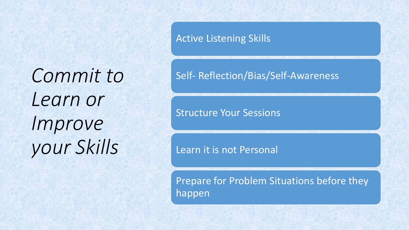*Commit to Learn or Improve your Skills*

Active Listening Skills

#### Self- Reflection/Bias/Self-Awareness

Structure Your Sessions

Learn it is not Personal

Prepare for Problem Situations before they happen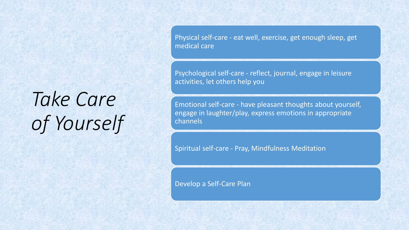# *Take Care of Yourself*

Physical self-care - eat well, exercise, get enough sleep, get medical care

Psychological self-care - reflect, journal, engage in leisure activities, let others help you

Emotional self-care - have pleasant thoughts about yourself, engage in laughter/play, express emotions in appropriate channels

Spiritual self-care - Pray, Mindfulness Meditation

Develop a Self-Care Plan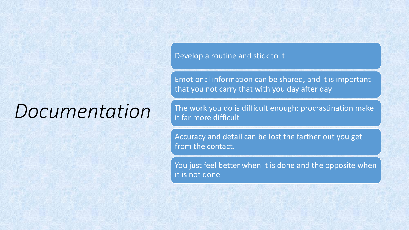## *Documentation*

Develop a routine and stick to it

Emotional information can be shared, and it is important that you not carry that with you day after day

The work you do is difficult enough; procrastination make it far more difficult

Accuracy and detail can be lost the farther out you get from the contact.

You just feel better when it is done and the opposite when it is not done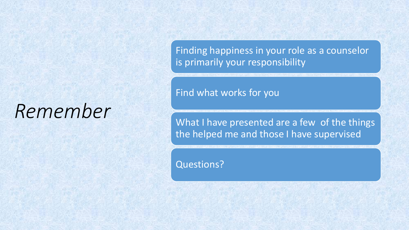## *Remember*

Finding happiness in your role as a counselor is primarily your responsibility

Find what works for you

What I have presented are a few of the things the helped me and those I have supervised

Questions?